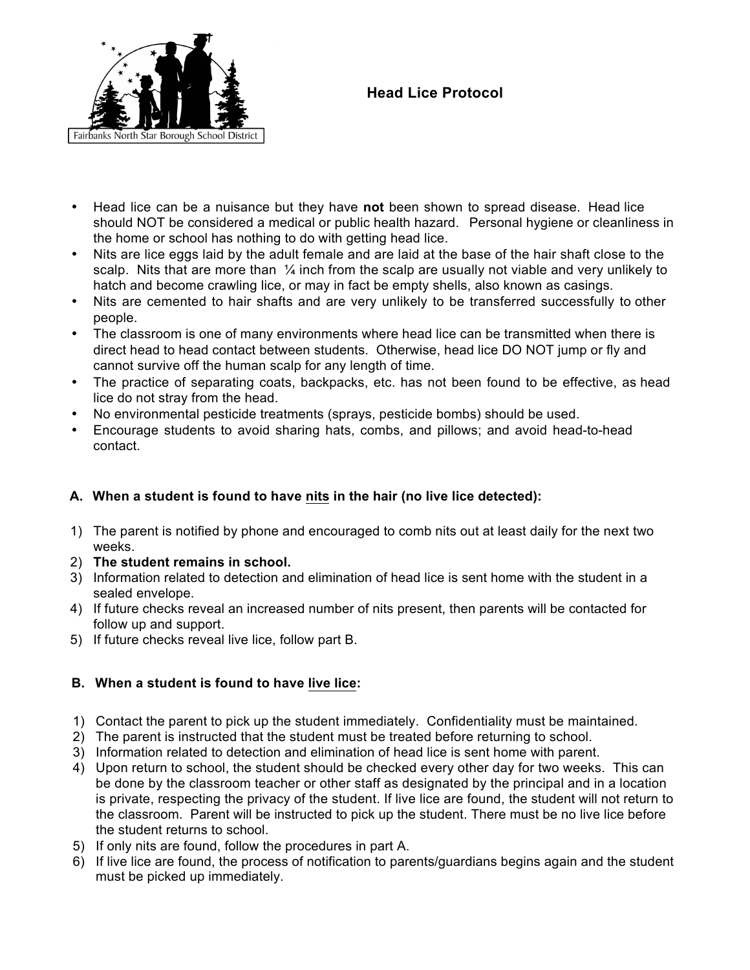

# **Head Lice Protocol**

- Head lice can be a nuisance but they have **not** been shown to spread disease. Head lice should NOT be considered a medical or public health hazard. Personal hygiene or cleanliness in the home or school has nothing to do with getting head lice.
- Nits are lice eggs laid by the adult female and are laid at the base of the hair shaft close to the scalp. Nits that are more than  $\frac{1}{4}$  inch from the scalp are usually not viable and very unlikely to hatch and become crawling lice, or may in fact be empty shells, also known as casings.
- Nits are cemented to hair shafts and are very unlikely to be transferred successfully to other people.
- The classroom is one of many environments where head lice can be transmitted when there is direct head to head contact between students. Otherwise, head lice DO NOT jump or fly and cannot survive off the human scalp for any length of time.
- The practice of separating coats, backpacks, etc. has not been found to be effective, as head lice do not stray from the head.
- No environmental pesticide treatments (sprays, pesticide bombs) should be used.
- Encourage students to avoid sharing hats, combs, and pillows; and avoid head-to-head contact.

## **A. When a student is found to have nits in the hair (no live lice detected):**

- 1) The parent is notified by phone and encouraged to comb nits out at least daily for the next two weeks.
- 2) **The student remains in school.**
- 3) Information related to detection and elimination of head lice is sent home with the student in a sealed envelope.
- 4) If future checks reveal an increased number of nits present, then parents will be contacted for follow up and support.
- 5) If future checks reveal live lice, follow part B.

## **B. When a student is found to have live lice:**

- 1) Contact the parent to pick up the student immediately. Confidentiality must be maintained.
- 2) The parent is instructed that the student must be treated before returning to school.
- 3) Information related to detection and elimination of head lice is sent home with parent.
- 4) Upon return to school, the student should be checked every other day for two weeks. This can be done by the classroom teacher or other staff as designated by the principal and in a location is private, respecting the privacy of the student. If live lice are found, the student will not return to the classroom. Parent will be instructed to pick up the student. There must be no live lice before the student returns to school.
- 5) If only nits are found, follow the procedures in part A.
- 6) If live lice are found, the process of notification to parents/guardians begins again and the student must be picked up immediately.